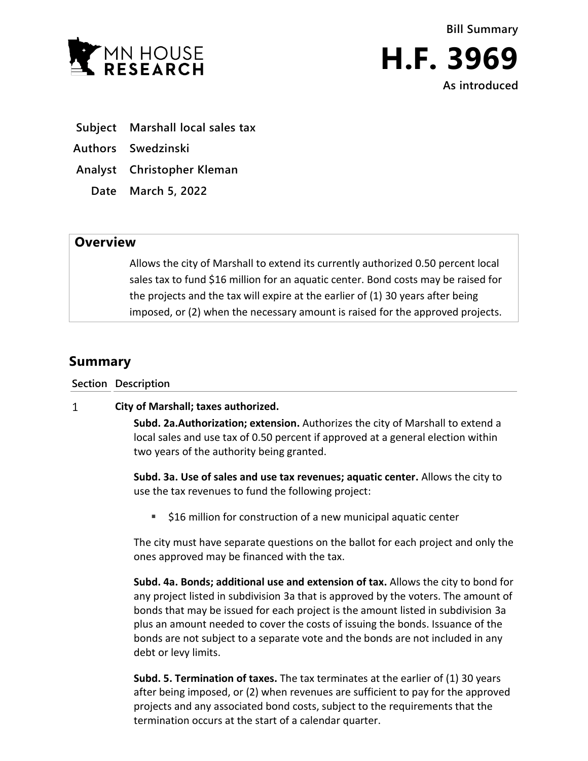

**Bill Summary H.F. 3969**

**As introduced**

- **Subject Marshall local sales tax**
- **Authors Swedzinski**
- **Analyst Christopher Kleman**
	- **Date March 5, 2022**

## **Overview**

Allows the city of Marshall to extend its currently authorized 0.50 percent local sales tax to fund \$16 million for an aquatic center. Bond costs may be raised for the projects and the tax will expire at the earlier of (1) 30 years after being imposed, or (2) when the necessary amount is raised for the approved projects.

## **Summary**

**Section Description**

## $\mathbf{1}$ **City of Marshall; taxes authorized.**

**Subd. 2a.Authorization; extension.** Authorizes the city of Marshall to extend a local sales and use tax of 0.50 percent if approved at a general election within two years of the authority being granted.

**Subd. 3a. Use of sales and use tax revenues; aquatic center.** Allows the city to use the tax revenues to fund the following project:

■ \$16 million for construction of a new municipal aquatic center

The city must have separate questions on the ballot for each project and only the ones approved may be financed with the tax.

**Subd. 4a. Bonds; additional use and extension of tax.** Allows the city to bond for any project listed in subdivision 3a that is approved by the voters. The amount of bonds that may be issued for each project is the amount listed in subdivision 3a plus an amount needed to cover the costs of issuing the bonds. Issuance of the bonds are not subject to a separate vote and the bonds are not included in any debt or levy limits.

**Subd. 5. Termination of taxes.** The tax terminates at the earlier of (1) 30 years after being imposed, or (2) when revenues are sufficient to pay for the approved projects and any associated bond costs, subject to the requirements that the termination occurs at the start of a calendar quarter.